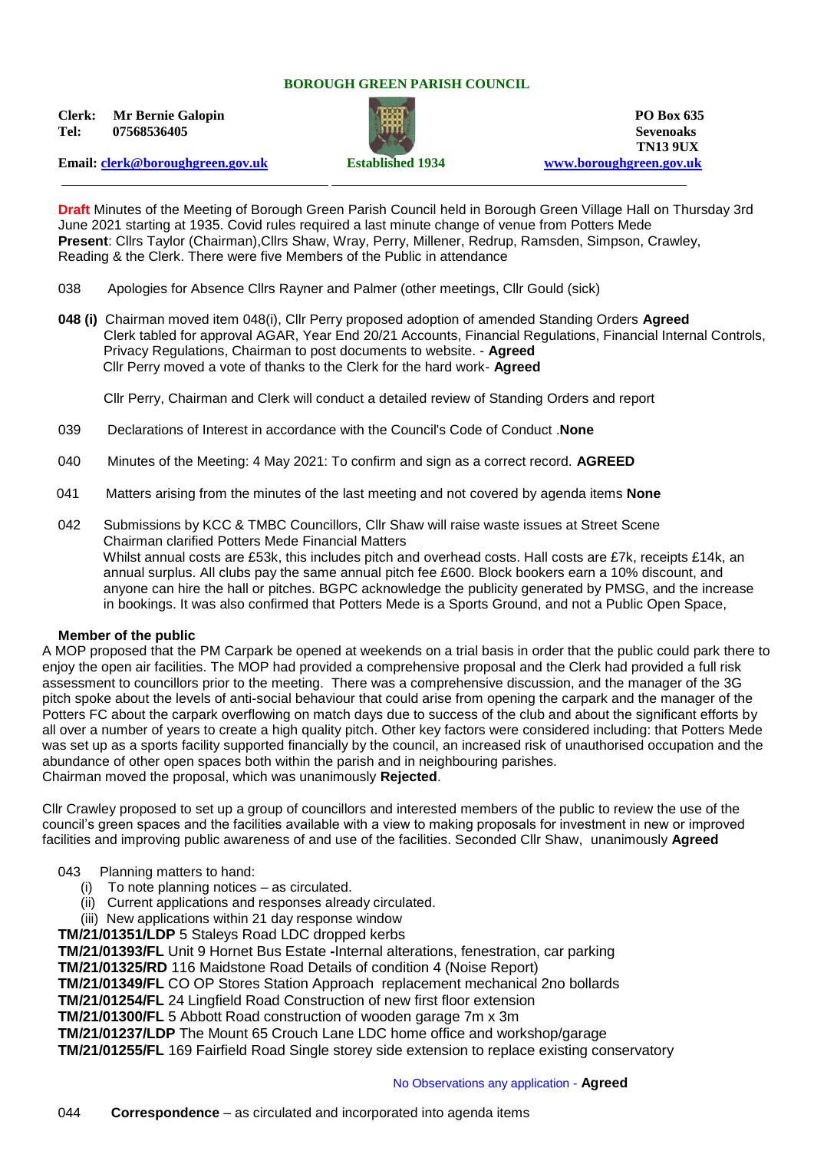### **BOROUGH GREEN PARISH COUNCIL**

**Clerk: Mr Bernie Galopin PO Box 635 Tel: 07568536405 Sevenoaks**



**TN13 9UX Email: [clerk@boroughgreen.gov.uk](mailto:clerk@boroughgreen.gov.uk) Established 1934 [www.boroughgreen.gov.uk](http://www.boroughgreen.gov.uk/)**

**Draft** Minutes of the Meeting of Borough Green Parish Council held in Borough Green Village Hall on Thursday 3rd June 2021 starting at 1935. Covid rules required a last minute change of venue from Potters Mede **Present**: Cllrs Taylor (Chairman),Cllrs Shaw, Wray, Perry, Millener, Redrup, Ramsden, Simpson, Crawley, Reading & the Clerk. There were five Members of the Public in attendance

- 038 Apologies for Absence Cllrs Rayner and Palmer (other meetings, Cllr Gould (sick)
- **048 (i)** Chairman moved item 048(i), Cllr Perry proposed adoption of amended Standing Orders **Agreed** Clerk tabled for approval AGAR, Year End 20/21 Accounts, Financial Regulations, Financial Internal Controls, Privacy Regulations, Chairman to post documents to website. - **Agreed** Cllr Perry moved a vote of thanks to the Clerk for the hard work- **Agreed**

Cllr Perry, Chairman and Clerk will conduct a detailed review of Standing Orders and report

- 039 Declarations of Interest in accordance with the Council's Code of Conduct .**None**
- 040 Minutes of the Meeting: 4 May 2021: To confirm and sign as a correct record. **AGREED**
- 041 Matters arising from the minutes of the last meeting and not covered by agenda items **None**
- 042 Submissions by KCC & TMBC Councillors, Cllr Shaw will raise waste issues at Street Scene Chairman clarified Potters Mede Financial Matters Whilst annual costs are £53k, this includes pitch and overhead costs. Hall costs are £7k, receipts £14k, an annual surplus. All clubs pay the same annual pitch fee £600. Block bookers earn a 10% discount, and anyone can hire the hall or pitches. BGPC acknowledge the publicity generated by PMSG, and the increase in bookings. It was also confirmed that Potters Mede is a Sports Ground, and not a Public Open Space,

#### **Member of the public**

A MOP proposed that the PM Carpark be opened at weekends on a trial basis in order that the public could park there to enjoy the open air facilities. The MOP had provided a comprehensive proposal and the Clerk had provided a full risk assessment to councillors prior to the meeting. There was a comprehensive discussion, and the manager of the 3G pitch spoke about the levels of anti-social behaviour that could arise from opening the carpark and the manager of the Potters FC about the carpark overflowing on match days due to success of the club and about the significant efforts by all over a number of years to create a high quality pitch. Other key factors were considered including: that Potters Mede was set up as a sports facility supported financially by the council, an increased risk of unauthorised occupation and the abundance of other open spaces both within the parish and in neighbouring parishes. Chairman moved the proposal, which was unanimously **Rejected**.

Cllr Crawley proposed to set up a group of councillors and interested members of the public to review the use of the council's green spaces and the facilities available with a view to making proposals for investment in new or improved facilities and improving public awareness of and use of the facilities. Seconded Cllr Shaw, unanimously **Agreed**

#### 043 Planning matters to hand:

- (i) To note planning notices as circulated.
- (ii) Current applications and responses already circulated.
- (iii) New applications within 21 day response window

**TM/21/01351/LDP** 5 Staleys Road LDC dropped kerbs

**TM/21/01393/FL** Unit 9 Hornet Bus Estate **-**Internal alterations, fenestration, car parking

**TM/21/01325/RD** 116 Maidstone Road Details of condition 4 (Noise Report)

**TM/21/01349/FL** CO OP Stores Station Approach replacement mechanical 2no bollards

**TM/21/01254/FL** 24 Lingfield Road Construction of new first floor extension

**TM/21/01300/FL** 5 Abbott Road construction of wooden garage 7m x 3m

**TM/21/01237/LDP** The Mount 65 Crouch Lane LDC home office and workshop/garage

**TM/21/01255/FL** 169 Fairfield Road Single storey side extension to replace existing conservatory

#### No Observations any application - **Agreed**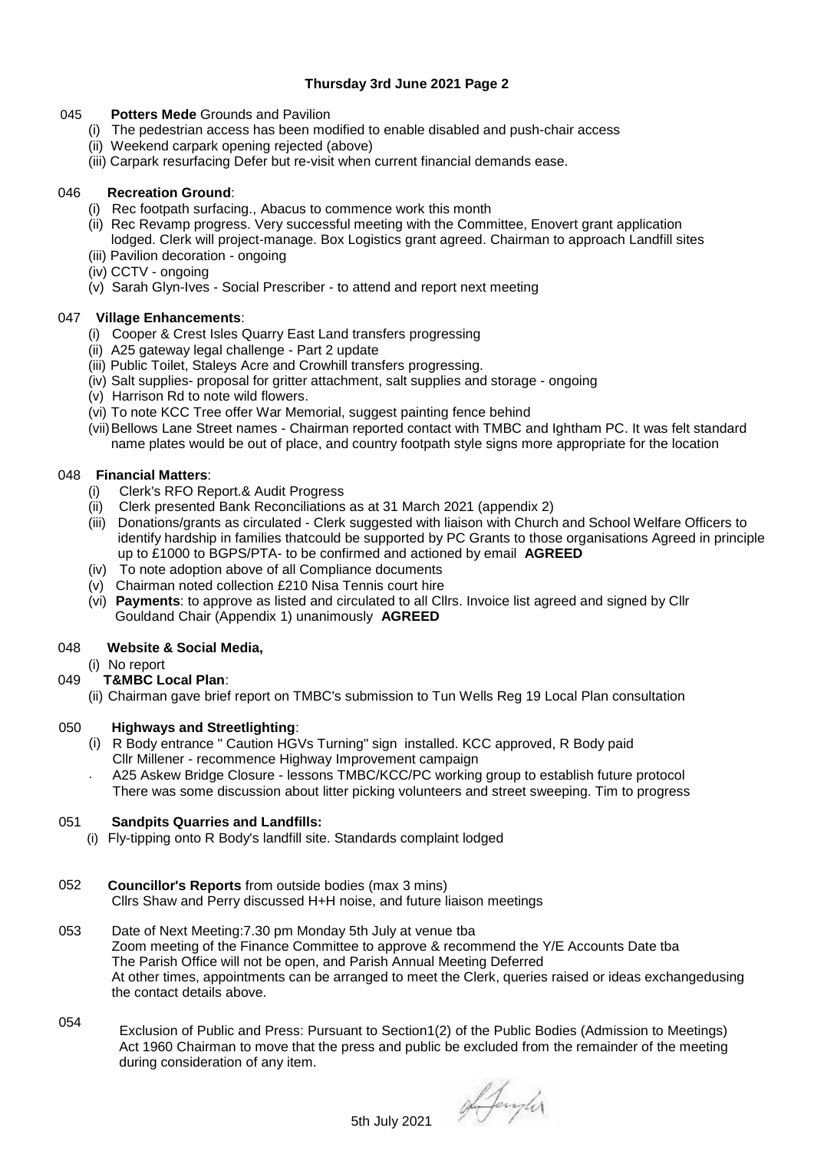# **Thursday 3rd June 2021 Page 2**

# 045 **Potters Mede** Grounds and Pavilion

- (i) The pedestrian access has been modified to enable disabled and push-chair access
- (ii) Weekend carpark opening rejected (above)
- (iii) Carpark resurfacing Defer but re-visit when current financial demands ease.

## 046 **Recreation Ground**:

- (i) Rec footpath surfacing., Abacus to commence work this month
- (ii) Rec Revamp progress. Very successful meeting with the Committee, Enovert grant application lodged. Clerk will project-manage. Box Logistics grant agreed. Chairman to approach Landfill sites
- (iii) Pavilion decoration ongoing
- (iv) CCTV ongoing
- (v) Sarah Glyn-Ives Social Prescriber to attend and report next meeting

## 047 **Village Enhancements**:

- (i) Cooper & Crest Isles Quarry East Land transfers progressing
- (ii) A25 gateway legal challenge Part 2 update
- (iii) Public Toilet, Staleys Acre and Crowhill transfers progressing.
- (iv) Salt supplies- proposal for gritter attachment, salt supplies and storage ongoing
- (v) Harrison Rd to note wild flowers.
- (vi) To note KCC Tree offer War Memorial, suggest painting fence behind
- (vii)Bellows Lane Street names Chairman reported contact with TMBC and Ightham PC. It was felt standard name plates would be out of place, and country footpath style signs more appropriate for the location

# 048 **Financial Matters**:

- (i) Clerk's RFO Report.& Audit Progress
- (ii) Clerk presented Bank Reconciliations as at 31 March 2021 (appendix 2)
- (iii) Donations/grants as circulated Clerk suggested with liaison with Church and School Welfare Officers to identify hardship in families that could be supported by PC Grants to those organisations Agreed in principle up to £1000 to BGPS/PTA- to be confirmed and actioned by email **AGREED**
- (iv)To note adoption above of all Compliance documents
- (v) Chairman noted collection £210 Nisa Tennis court hire
- (vi) **Payments**: to approve as listed and circulated to all Cllrs. Invoice list agreed and signed by Cllr Gouldand Chair (Appendix 1) unanimously **AGREED**

#### 048 **Website & Social Media,**

(i) No report

# 049 **T&MBC Local Plan**:

(ii) Chairman gave brief report on TMBC's submission to Tun Wells Reg 19 Local Plan consultation

#### 050 **Highways and Streetlighting**:

- (i) R Body entrance " Caution HGVs Turning" sign installed. KCC approved, R Body paid Cllr Millener - recommence Highway Improvement campaign
- . A25 Askew Bridge Closure - lessons TMBC/KCC/PC working group to establish future protocol There was some discussion about litter picking volunteers and street sweeping. Tim to progress

#### 051 **Sandpits Quarries and Landfills:**

- (i) Fly-tipping onto R Body's landfill site. Standards complaint lodged
- 052 **Councillor's Reports** from outside bodies (max 3 mins) Cllrs Shaw and Perry discussed H+H noise, and future liaison meetings
- 053 Date of Next Meeting:7.30 pm Monday 5th July at venue tba Zoom meeting of the Finance Committee to approve & recommend the Y/E Accounts Date tba The Parish Office will not be open, and Parish Annual Meeting Deferred At other times, appointments can be arranged to meet the Clerk, queries raised or ideas exchangedusing the contact details above.
- 054 Exclusion of Public and Press: Pursuant to Section1(2) of the Public Bodies (Admission to Meetings) Act 1960 Chairman to move that the press and public be excluded from the remainder of the meeting during consideration of any item.

5th July 2021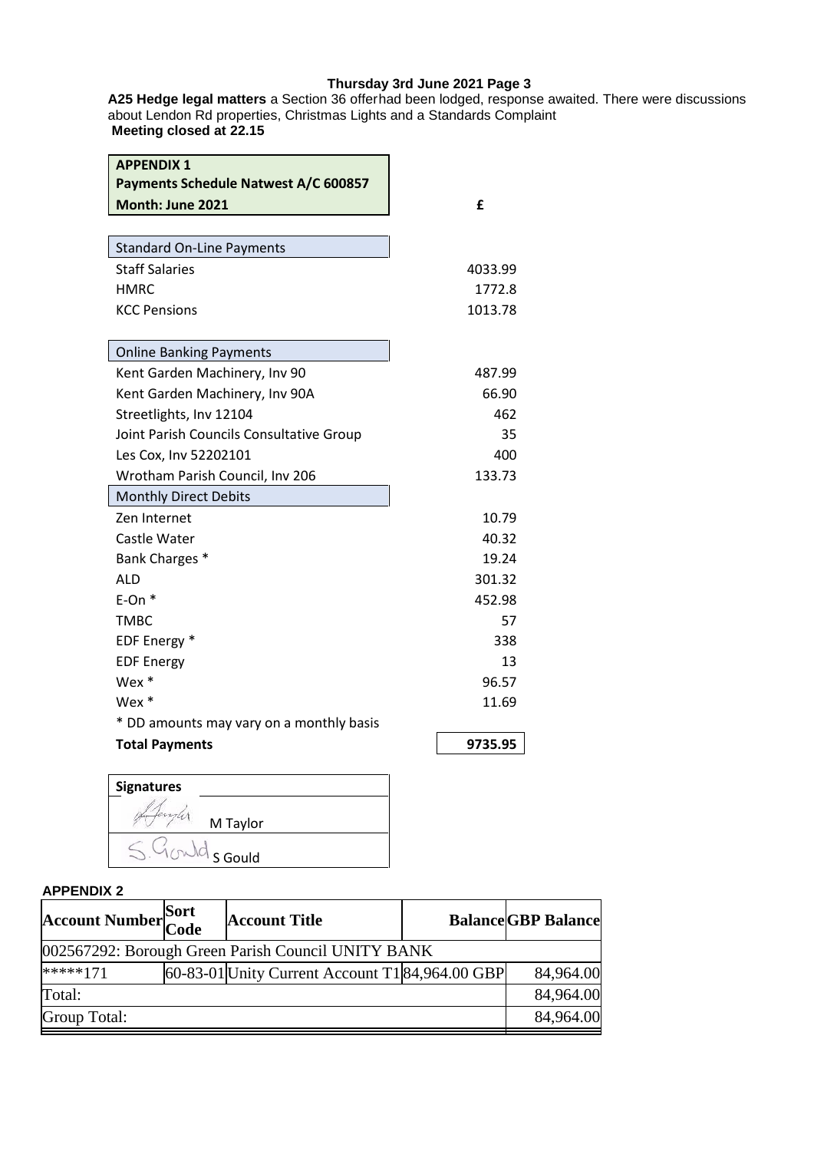# **Thursday 3rd June 2021 Page 3**

**A25 Hedge legal matters** a Section 36 offer had been lodged, response awaited. There were discussions about Lendon Rd properties, Christmas Lights and a Standards Complaint **Meeting closed at 22.15**

| <b>APPENDIX 1</b><br>Payments Schedule Natwest A/C 600857 |         |
|-----------------------------------------------------------|---------|
| Month: June 2021                                          | £       |
|                                                           |         |
| <b>Standard On-Line Payments</b>                          |         |
| <b>Staff Salaries</b>                                     | 4033.99 |
| <b>HMRC</b>                                               | 1772.8  |
| <b>KCC Pensions</b>                                       | 1013.78 |
| <b>Online Banking Payments</b>                            |         |
| Kent Garden Machinery, Inv 90                             | 487.99  |
| Kent Garden Machinery, Inv 90A                            | 66.90   |
| Streetlights, Inv 12104                                   | 462     |
| Joint Parish Councils Consultative Group                  | 35      |
| Les Cox, Inv 52202101                                     | 400     |
| Wrotham Parish Council, Inv 206                           | 133.73  |
| <b>Monthly Direct Debits</b>                              |         |
| Zen Internet                                              | 10.79   |
| Castle Water                                              | 40.32   |
| Bank Charges *                                            | 19.24   |
| <b>ALD</b>                                                | 301.32  |
| $E$ -On $*$                                               | 452.98  |
| <b>TMBC</b>                                               | 57      |
| EDF Energy *                                              | 338     |
| <b>EDF Energy</b>                                         | 13      |
| Wex *                                                     | 96.57   |
| Wex $*$                                                   | 11.69   |
| * DD amounts may vary on a monthly basis                  |         |
| <b>Total Payments</b>                                     | 9735.95 |
|                                                           |         |



# **APPENDIX 2**

| <b>Account Number</b> Sort                         |  | <b>Account Title</b>                            |  | <b>Balance GBP Balance</b> |  |  |  |
|----------------------------------------------------|--|-------------------------------------------------|--|----------------------------|--|--|--|
| 002567292: Borough Green Parish Council UNITY BANK |  |                                                 |  |                            |  |  |  |
| *****171                                           |  | 60-83-01 Unity Current Account T1 84,964.00 GBP |  | 84,964.00                  |  |  |  |
| Total:                                             |  |                                                 |  | 84,964.00                  |  |  |  |
| Group Total:                                       |  |                                                 |  | 84,964.00                  |  |  |  |